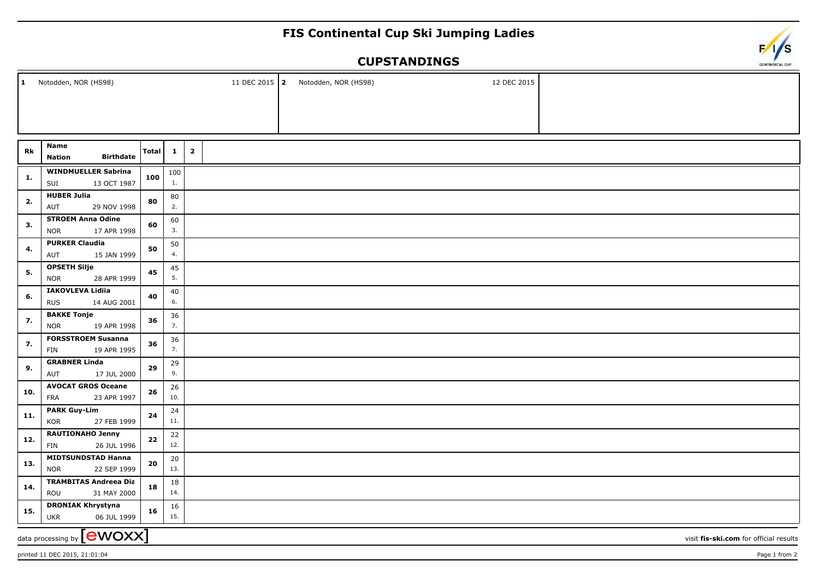## **FIS Continental Cup Ski Jumping Ladies**

## **CUPSTANDINGS**

| $\mathbf{1}$<br>Notodden, NOR (HS98)                                        |                                                        |              |              |                         |  |  | 11 DEC 2015 2 Notodden, NOR (HS98) |  | 12 DEC 2015 |  |
|-----------------------------------------------------------------------------|--------------------------------------------------------|--------------|--------------|-------------------------|--|--|------------------------------------|--|-------------|--|
|                                                                             |                                                        |              |              |                         |  |  |                                    |  |             |  |
|                                                                             |                                                        |              |              |                         |  |  |                                    |  |             |  |
|                                                                             | Name                                                   |              |              |                         |  |  |                                    |  |             |  |
| Rk                                                                          | <b>Birthdate</b><br><b>Nation</b>                      | <b>Total</b> | $\mathbf{1}$ | $\overline{\mathbf{2}}$ |  |  |                                    |  |             |  |
| 1.                                                                          | <b>WINDMUELLER Sabrina</b><br>13 OCT 1987<br>SUI       | 100          | 100<br>1.    |                         |  |  |                                    |  |             |  |
| 2.                                                                          | <b>HUBER Julia</b><br>29 NOV 1998<br>AUT               | 80           | 80<br>2.     |                         |  |  |                                    |  |             |  |
| 3.                                                                          | <b>STROEM Anna Odine</b><br>17 APR 1998<br><b>NOR</b>  | 60           | 60<br>3.     |                         |  |  |                                    |  |             |  |
| 4.                                                                          | <b>PURKER Claudia</b><br>AUT<br>15 JAN 1999            | 50           | 50<br>4.     |                         |  |  |                                    |  |             |  |
|                                                                             | <b>OPSETH Silje</b>                                    |              | 45           |                         |  |  |                                    |  |             |  |
| 5.                                                                          | <b>NOR</b><br>28 APR 1999                              | 45           | 5.           |                         |  |  |                                    |  |             |  |
| 6.                                                                          | IAKOVLEVA Lidiia<br><b>RUS</b><br>14 AUG 2001          | 40           | $40\,$<br>6. |                         |  |  |                                    |  |             |  |
| 7.                                                                          | <b>BAKKE Tonje</b><br><b>NOR</b><br>19 APR 1998        | 36           | 36<br>7.     |                         |  |  |                                    |  |             |  |
| 7.                                                                          | <b>FORSSTROEM Susanna</b><br>19 APR 1995<br>FIN        | 36           | 36<br>7.     |                         |  |  |                                    |  |             |  |
| 9.                                                                          | <b>GRABNER Linda</b><br>AUT<br>17 JUL 2000             | 29           | 29<br>9.     |                         |  |  |                                    |  |             |  |
| 10.                                                                         | <b>AVOCAT GROS Oceane</b><br>23 APR 1997<br><b>FRA</b> | 26           | 26<br>10.    |                         |  |  |                                    |  |             |  |
| 11.                                                                         | <b>PARK Guy-Lim</b><br><b>KOR</b><br>27 FEB 1999       | 24           | 24<br>11.    |                         |  |  |                                    |  |             |  |
| 12.                                                                         | RAUTIONAHO Jenny<br>FIN<br>26 JUL 1996                 | 22           | 22<br>12.    |                         |  |  |                                    |  |             |  |
| 13.                                                                         | <b>MIDTSUNDSTAD Hanna</b><br>22 SEP 1999<br><b>NOR</b> | 20           | 20<br>13.    |                         |  |  |                                    |  |             |  |
| 14.                                                                         | <b>TRAMBITAS Andreea Dia</b><br>ROU<br>31 MAY 2000     | 18           | 18<br>14.    |                         |  |  |                                    |  |             |  |
| 15.                                                                         | <b>DRONIAK Khrystyna</b><br>06 JUL 1999<br><b>UKR</b>  | 16           | 16<br>15.    |                         |  |  |                                    |  |             |  |
| data processing by <b>[CWOXX]</b><br>visit fis-ski.com for official results |                                                        |              |              |                         |  |  |                                    |  |             |  |